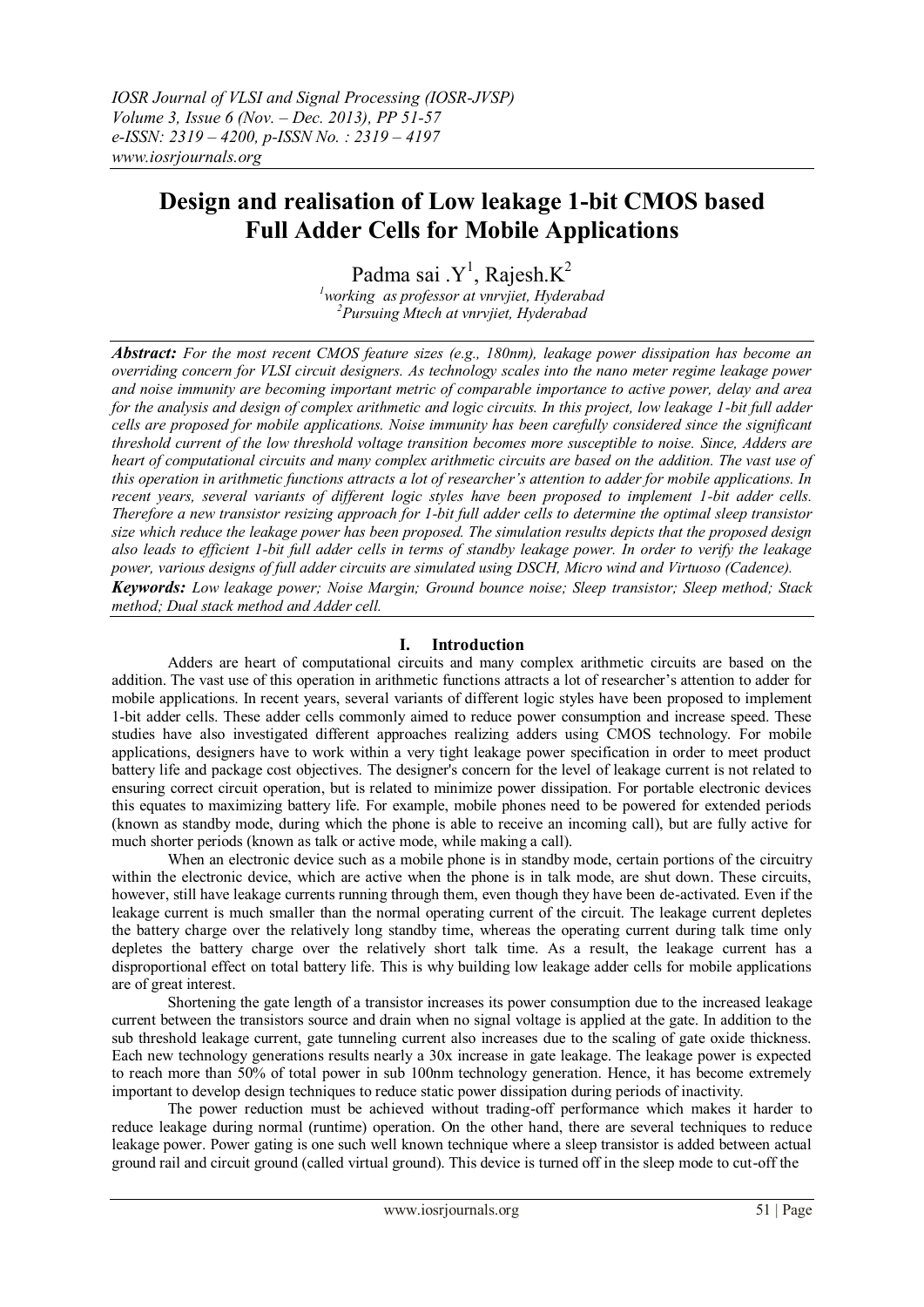# **Design and realisation of Low leakage 1-bit CMOS based Full Adder Cells for Mobile Applications**

Padma sai  $Y^1$ , Rajesh. $K^2$ *<sup>1</sup>working as professor at vnrvjiet, Hyderabad <sup>2</sup>Pursuing Mtech at vnrvjiet, Hyderabad*

*Abstract: For the most recent CMOS feature sizes (e.g., 180nm), leakage power dissipation has become an overriding concern for VLSI circuit designers. As technology scales into the nano meter regime leakage power and noise immunity are becoming important metric of comparable importance to active power, delay and area for the analysis and design of complex arithmetic and logic circuits. In this project, low leakage 1-bit full adder cells are proposed for mobile applications. Noise immunity has been carefully considered since the significant threshold current of the low threshold voltage transition becomes more susceptible to noise. Since, Adders are heart of computational circuits and many complex arithmetic circuits are based on the addition. The vast use of this operation in arithmetic functions attracts a lot of researcher's attention to adder for mobile applications. In recent years, several variants of different logic styles have been proposed to implement 1-bit adder cells. Therefore a new transistor resizing approach for 1-bit full adder cells to determine the optimal sleep transistor size which reduce the leakage power has been proposed. The simulation results depicts that the proposed design also leads to efficient 1-bit full adder cells in terms of standby leakage power. In order to verify the leakage power, various designs of full adder circuits are simulated using DSCH, Micro wind and Virtuoso (Cadence). Keywords: Low leakage power; Noise Margin; Ground bounce noise; Sleep transistor; Sleep method; Stack method; Dual stack method and Adder cell.* 

### **I. Introduction**

Adders are heart of computational circuits and many complex arithmetic circuits are based on the addition. The vast use of this operation in arithmetic functions attracts a lot of researcher's attention to adder for mobile applications. In recent years, several variants of different logic styles have been proposed to implement 1-bit adder cells. These adder cells commonly aimed to reduce power consumption and increase speed. These studies have also investigated different approaches realizing adders using CMOS technology. For mobile applications, designers have to work within a very tight leakage power specification in order to meet product battery life and package cost objectives. The designer's concern for the level of leakage current is not related to ensuring correct circuit operation, but is related to minimize power dissipation. For portable electronic devices this equates to maximizing battery life. For example, mobile phones need to be powered for extended periods (known as standby mode, during which the phone is able to receive an incoming call), but are fully active for much shorter periods (known as talk or active mode, while making a call).

When an electronic device such as a mobile phone is in standby mode, certain portions of the circuitry within the electronic device, which are active when the phone is in talk mode, are shut down. These circuits, however, still have leakage currents running through them, even though they have been de-activated. Even if the leakage current is much smaller than the normal operating current of the circuit. The leakage current depletes the battery charge over the relatively long standby time, whereas the operating current during talk time only depletes the battery charge over the relatively short talk time. As a result, the leakage current has a disproportional effect on total battery life. This is why building low leakage adder cells for mobile applications are of great interest.

Shortening the gate length of a transistor increases its power consumption due to the increased leakage current between the transistors source and drain when no signal voltage is applied at the gate. In addition to the sub threshold leakage current, gate tunneling current also increases due to the scaling of gate oxide thickness. Each new technology generations results nearly a 30x increase in gate leakage. The leakage power is expected to reach more than 50% of total power in sub 100nm technology generation. Hence, it has become extremely important to develop design techniques to reduce static power dissipation during periods of inactivity.

The power reduction must be achieved without trading-off performance which makes it harder to reduce leakage during normal (runtime) operation. On the other hand, there are several techniques to reduce leakage power. Power gating is one such well known technique where a sleep transistor is added between actual ground rail and circuit ground (called virtual ground). This device is turned off in the sleep mode to cut-off the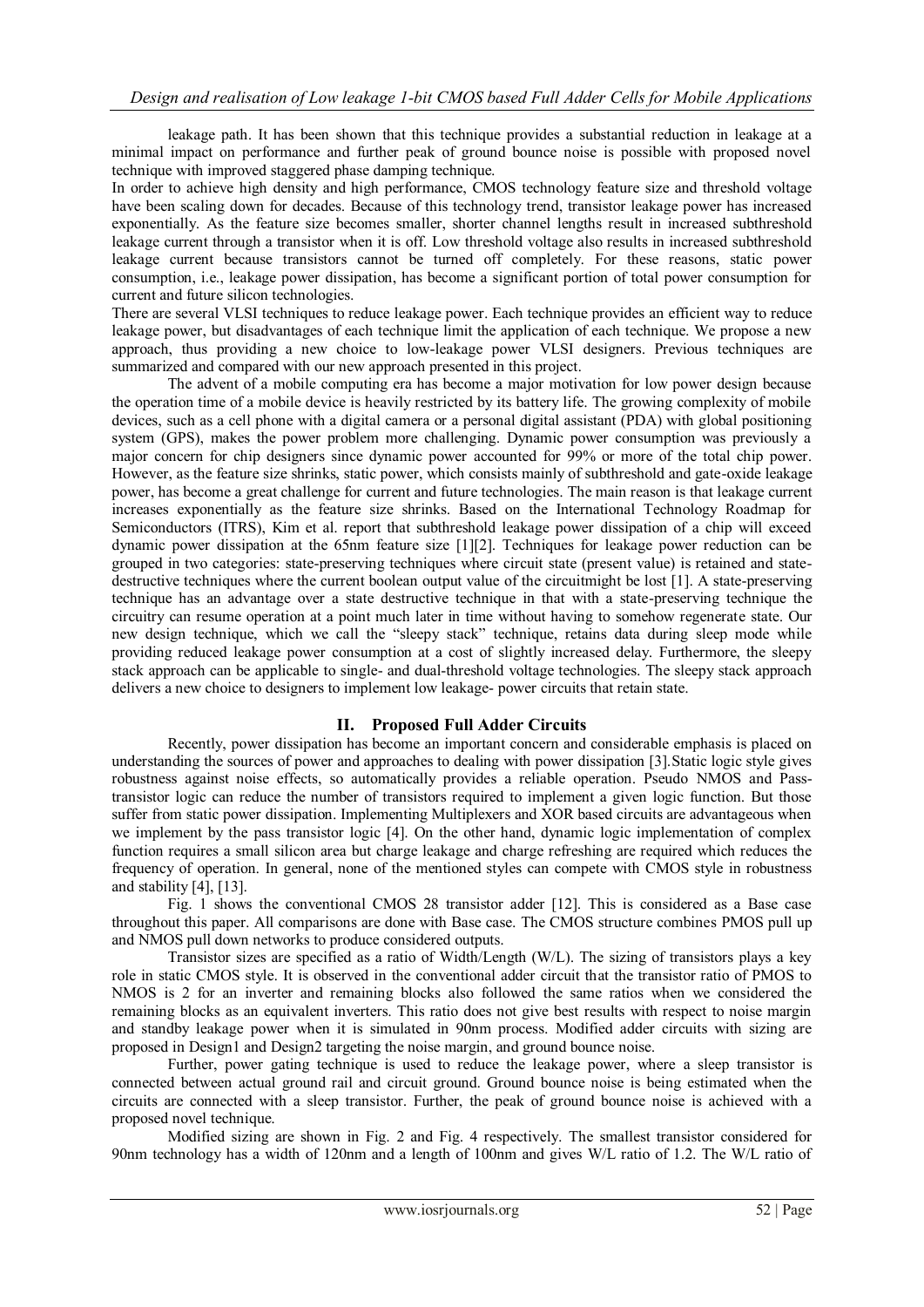leakage path. It has been shown that this technique provides a substantial reduction in leakage at a minimal impact on performance and further peak of ground bounce noise is possible with proposed novel technique with improved staggered phase damping technique.

In order to achieve high density and high performance, CMOS technology feature size and threshold voltage have been scaling down for decades. Because of this technology trend, transistor leakage power has increased exponentially. As the feature size becomes smaller, shorter channel lengths result in increased subthreshold leakage current through a transistor when it is off. Low threshold voltage also results in increased subthreshold leakage current because transistors cannot be turned off completely. For these reasons, static power consumption, i.e., leakage power dissipation, has become a significant portion of total power consumption for current and future silicon technologies.

There are several VLSI techniques to reduce leakage power. Each technique provides an efficient way to reduce leakage power, but disadvantages of each technique limit the application of each technique. We propose a new approach, thus providing a new choice to low-leakage power VLSI designers. Previous techniques are summarized and compared with our new approach presented in this project.

The advent of a mobile computing era has become a major motivation for low power design because the operation time of a mobile device is heavily restricted by its battery life. The growing complexity of mobile devices, such as a cell phone with a digital camera or a personal digital assistant (PDA) with global positioning system (GPS), makes the power problem more challenging. Dynamic power consumption was previously a major concern for chip designers since dynamic power accounted for 99% or more of the total chip power. However, as the feature size shrinks, static power, which consists mainly of subthreshold and gate-oxide leakage power, has become a great challenge for current and future technologies. The main reason is that leakage current increases exponentially as the feature size shrinks. Based on the International Technology Roadmap for Semiconductors (ITRS), Kim et al. report that subthreshold leakage power dissipation of a chip will exceed dynamic power dissipation at the 65nm feature size [1][2]. Techniques for leakage power reduction can be grouped in two categories: state-preserving techniques where circuit state (present value) is retained and statedestructive techniques where the current boolean output value of the circuitmight be lost [1]. A state-preserving technique has an advantage over a state destructive technique in that with a state-preserving technique the circuitry can resume operation at a point much later in time without having to somehow regenerate state. Our new design technique, which we call the "sleepy stack" technique, retains data during sleep mode while providing reduced leakage power consumption at a cost of slightly increased delay. Furthermore, the sleepy stack approach can be applicable to single- and dual-threshold voltage technologies. The sleepy stack approach delivers a new choice to designers to implement low leakage- power circuits that retain state.

#### **II. Proposed Full Adder Circuits**

Recently, power dissipation has become an important concern and considerable emphasis is placed on understanding the sources of power and approaches to dealing with power dissipation [3].Static logic style gives robustness against noise effects, so automatically provides a reliable operation. Pseudo NMOS and Passtransistor logic can reduce the number of transistors required to implement a given logic function. But those suffer from static power dissipation. Implementing Multiplexers and XOR based circuits are advantageous when we implement by the pass transistor logic [4]. On the other hand, dynamic logic implementation of complex function requires a small silicon area but charge leakage and charge refreshing are required which reduces the frequency of operation. In general, none of the mentioned styles can compete with CMOS style in robustness and stability [4], [13].

Fig. 1 shows the conventional CMOS 28 transistor adder [12]. This is considered as a Base case throughout this paper. All comparisons are done with Base case. The CMOS structure combines PMOS pull up and NMOS pull down networks to produce considered outputs.

Transistor sizes are specified as a ratio of Width/Length (W/L). The sizing of transistors plays a key role in static CMOS style. It is observed in the conventional adder circuit that the transistor ratio of PMOS to NMOS is 2 for an inverter and remaining blocks also followed the same ratios when we considered the remaining blocks as an equivalent inverters. This ratio does not give best results with respect to noise margin and standby leakage power when it is simulated in 90nm process. Modified adder circuits with sizing are proposed in Design1 and Design2 targeting the noise margin, and ground bounce noise.

Further, power gating technique is used to reduce the leakage power, where a sleep transistor is connected between actual ground rail and circuit ground. Ground bounce noise is being estimated when the circuits are connected with a sleep transistor. Further, the peak of ground bounce noise is achieved with a proposed novel technique.

Modified sizing are shown in Fig. 2 and Fig. 4 respectively. The smallest transistor considered for 90nm technology has a width of 120nm and a length of 100nm and gives W/L ratio of 1.2. The W/L ratio of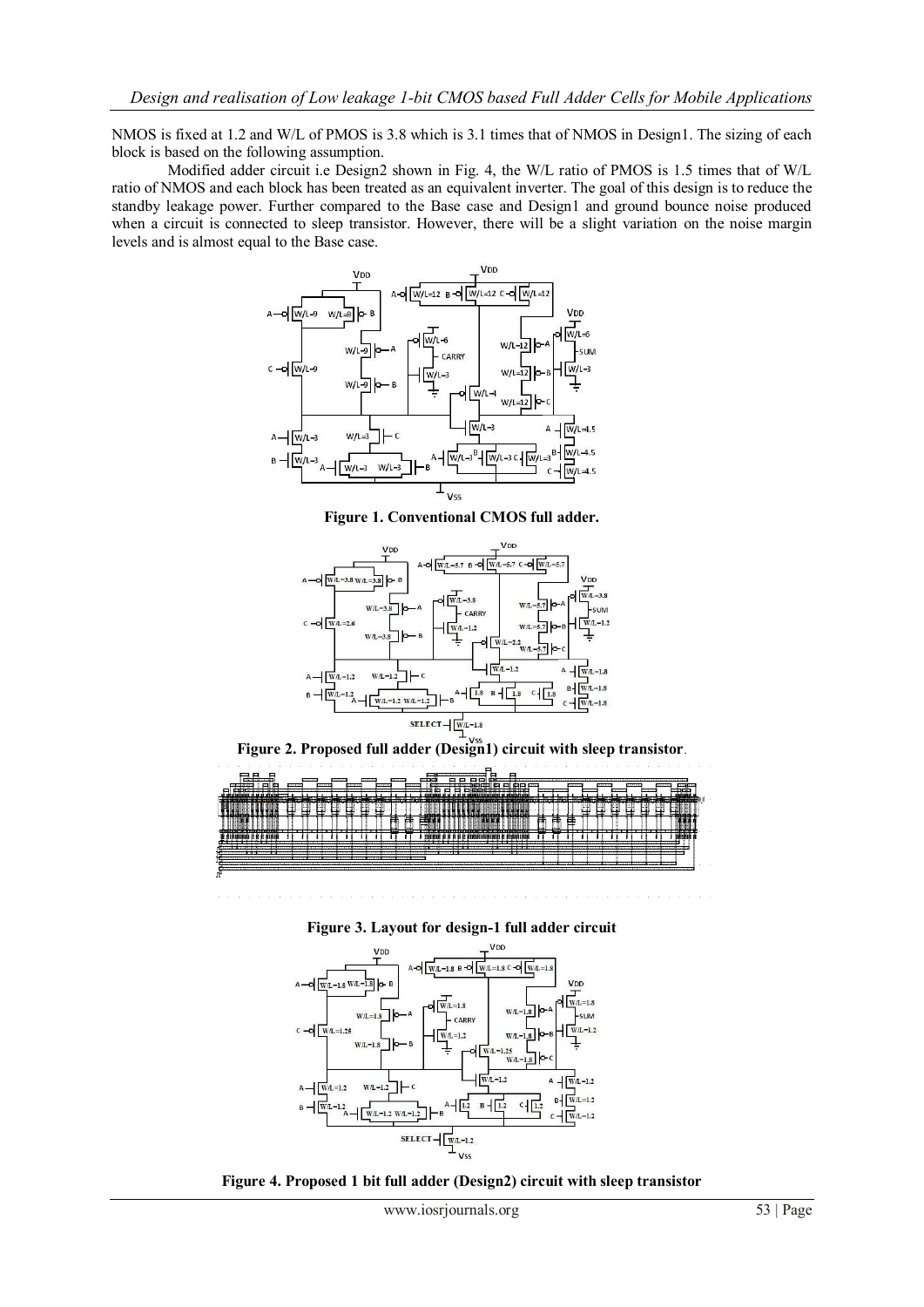NMOS is fixed at 1.2 and W/L of PMOS is 3.8 which is 3.1 times that of NMOS in Design1. The sizing of each block is based on the following assumption.

Modified adder circuit i.e Design2 shown in Fig. 4, the W/L ratio of PMOS is 1.5 times that of W/L ratio of NMOS and each block has been treated as an equivalent inverter. The goal of this design is to reduce the standby leakage power. Further compared to the Base case and Design1 and ground bounce noise produced when a circuit is connected to sleep transistor. However, there will be a slight variation on the noise margin levels and is almost equal to the Base case.



**Figure 1. Conventional CMOS full adder.**



**Figure 2. Proposed full adder (Design1) circuit with sleep transistor**.







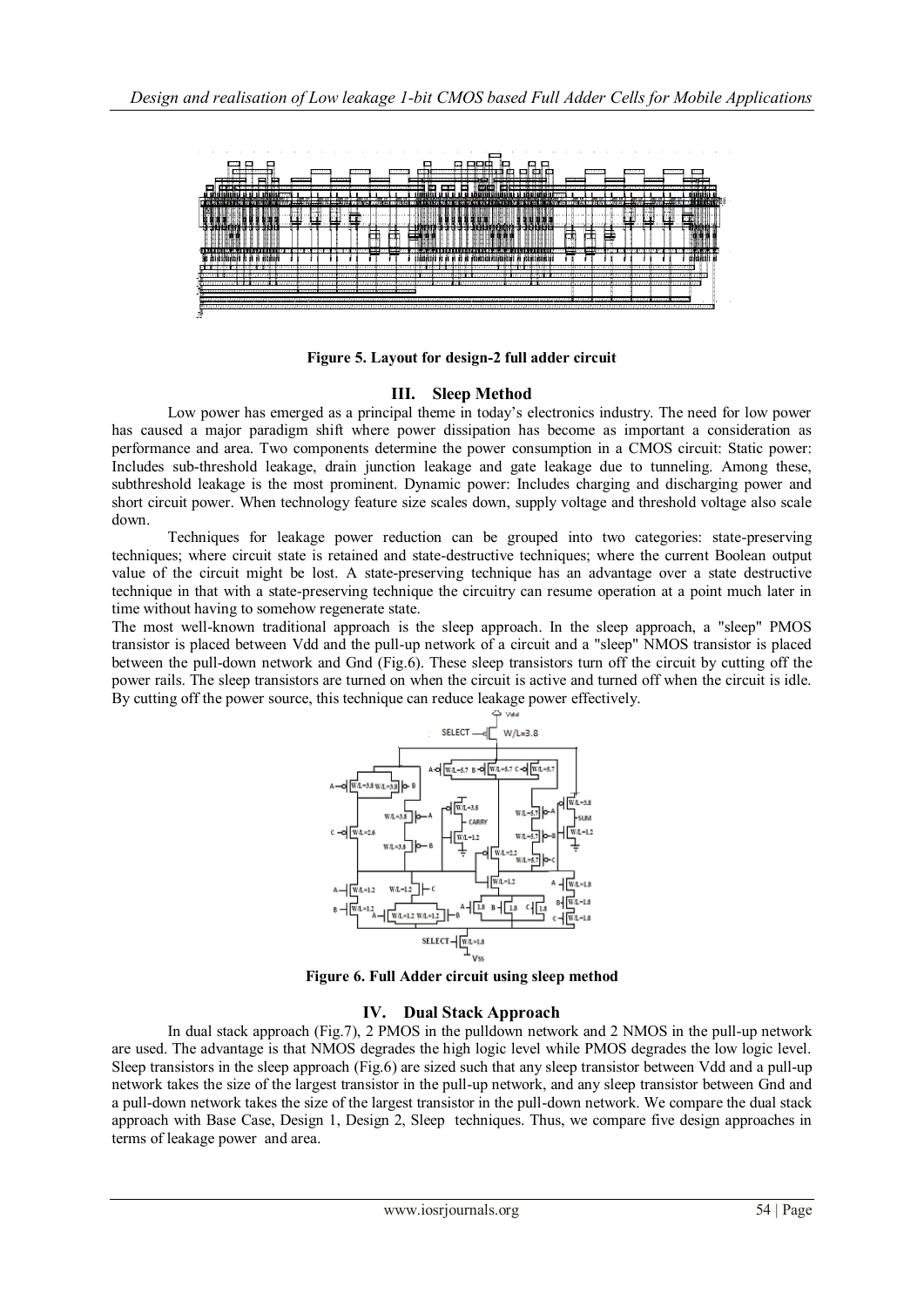

**Figure 5. Layout for design-2 full adder circuit**

#### **III. Sleep Method**

Low power has emerged as a principal theme in today's electronics industry. The need for low power has caused a major paradigm shift where power dissipation has become as important a consideration as performance and area. Two components determine the power consumption in a CMOS circuit: Static power: Includes sub-threshold leakage, drain junction leakage and gate leakage due to tunneling. Among these, subthreshold leakage is the most prominent. Dynamic power: Includes charging and discharging power and short circuit power. When technology feature size scales down, supply voltage and threshold voltage also scale down.

Techniques for leakage power reduction can be grouped into two categories: state-preserving techniques; where circuit state is retained and state-destructive techniques; where the current Boolean output value of the circuit might be lost. A state-preserving technique has an advantage over a state destructive technique in that with a state-preserving technique the circuitry can resume operation at a point much later in time without having to somehow regenerate state.

The most well-known traditional approach is the sleep approach. In the sleep approach, a "sleep" PMOS transistor is placed between Vdd and the pull-up network of a circuit and a "sleep" NMOS transistor is placed between the pull-down network and Gnd (Fig.6). These sleep transistors turn off the circuit by cutting off the power rails. The sleep transistors are turned on when the circuit is active and turned off when the circuit is idle. By cutting off the power source, this technique can reduce leakage power effectively.



**Figure 6. Full Adder circuit using sleep method**

#### **IV. Dual Stack Approach**

In dual stack approach (Fig.7), 2 PMOS in the pulldown network and 2 NMOS in the pull-up network are used. The advantage is that NMOS degrades the high logic level while PMOS degrades the low logic level. Sleep transistors in the sleep approach (Fig.6) are sized such that any sleep transistor between Vdd and a pull-up network takes the size of the largest transistor in the pull-up network, and any sleep transistor between Gnd and a pull-down network takes the size of the largest transistor in the pull-down network. We compare the dual stack approach with Base Case, Design 1, Design 2, Sleep techniques. Thus, we compare five design approaches in terms of leakage power and area.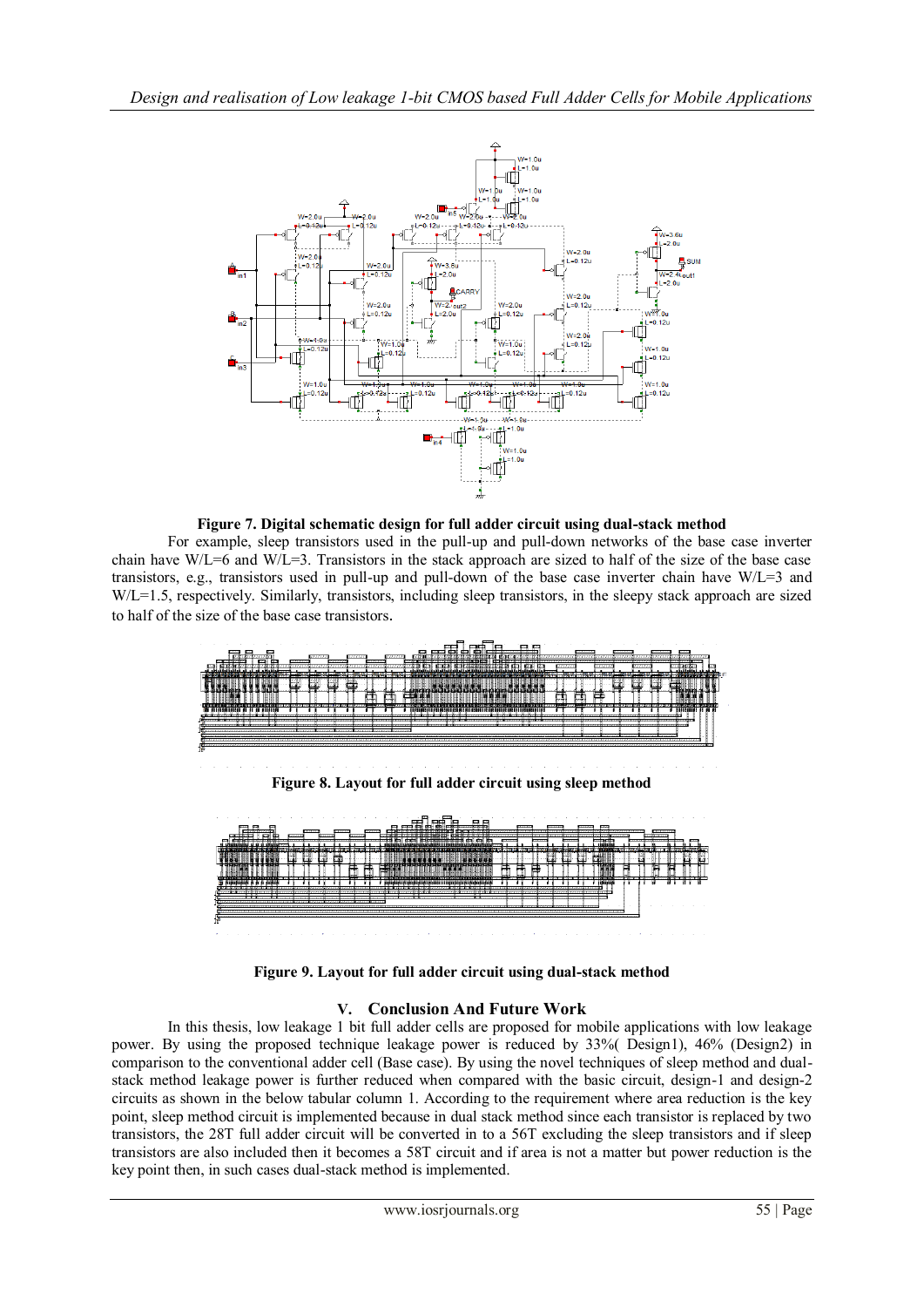



For example, sleep transistors used in the pull-up and pull-down networks of the base case inverter chain have  $W/L=6$  and  $W/L=3$ . Transistors in the stack approach are sized to half of the size of the base case transistors, e.g., transistors used in pull-up and pull-down of the base case inverter chain have W/L=3 and W/L=1.5, respectively. Similarly, transistors, including sleep transistors, in the sleepy stack approach are sized to half of the size of the base case transistors.



**Figure 8. Layout for full adder circuit using sleep method**



**Figure 9. Layout for full adder circuit using dual-stack method**

## **V. Conclusion And Future Work**

In this thesis, low leakage 1 bit full adder cells are proposed for mobile applications with low leakage power. By using the proposed technique leakage power is reduced by 33%( Design1), 46% (Design2) in comparison to the conventional adder cell (Base case). By using the novel techniques of sleep method and dualstack method leakage power is further reduced when compared with the basic circuit, design-1 and design-2 circuits as shown in the below tabular column 1. According to the requirement where area reduction is the key point, sleep method circuit is implemented because in dual stack method since each transistor is replaced by two transistors, the 28T full adder circuit will be converted in to a 56T excluding the sleep transistors and if sleep transistors are also included then it becomes a 58T circuit and if area is not a matter but power reduction is the key point then, in such cases dual-stack method is implemented.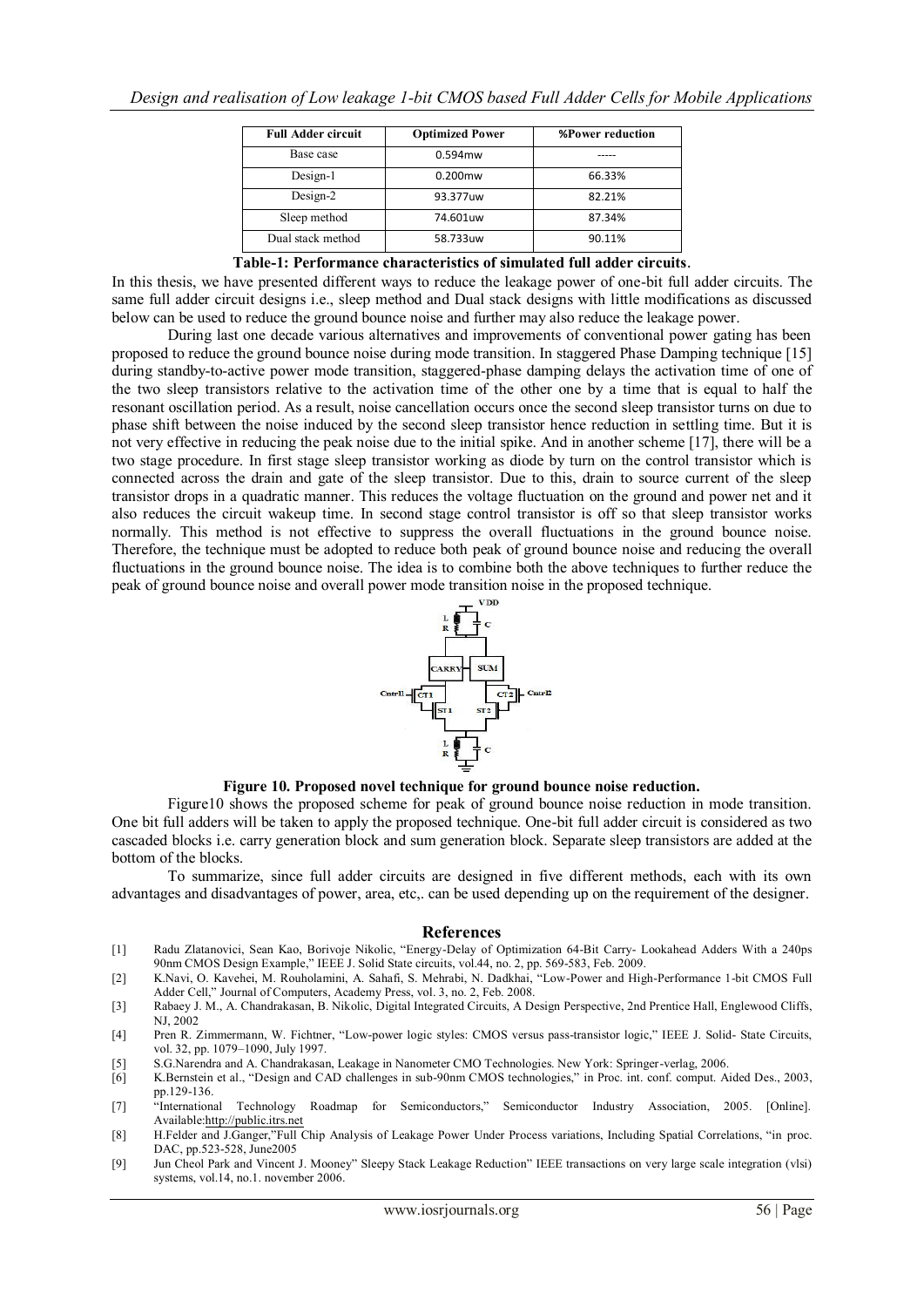| <b>Full Adder circuit</b> | <b>Optimized Power</b> | <b>%Power reduction</b> |
|---------------------------|------------------------|-------------------------|
| Base case                 | 0.594mw                |                         |
| $Design-1$                | 0.200mw                | 66.33%                  |
| $Design-2$                | 93.377uw               | 82.21%                  |
| Sleep method              | 74.601uw               | 87.34%                  |
| Dual stack method         | 58.733uw               | 90.11%                  |

**Table-1: Performance characteristics of simulated full adder circuits**.

In this thesis, we have presented different ways to reduce the leakage power of one-bit full adder circuits. The same full adder circuit designs i.e., sleep method and Dual stack designs with little modifications as discussed below can be used to reduce the ground bounce noise and further may also reduce the leakage power.

During last one decade various alternatives and improvements of conventional power gating has been proposed to reduce the ground bounce noise during mode transition. In staggered Phase Damping technique [15] during standby-to-active power mode transition, staggered-phase damping delays the activation time of one of the two sleep transistors relative to the activation time of the other one by a time that is equal to half the resonant oscillation period. As a result, noise cancellation occurs once the second sleep transistor turns on due to phase shift between the noise induced by the second sleep transistor hence reduction in settling time. But it is not very effective in reducing the peak noise due to the initial spike. And in another scheme [17], there will be a two stage procedure. In first stage sleep transistor working as diode by turn on the control transistor which is connected across the drain and gate of the sleep transistor. Due to this, drain to source current of the sleep transistor drops in a quadratic manner. This reduces the voltage fluctuation on the ground and power net and it also reduces the circuit wakeup time. In second stage control transistor is off so that sleep transistor works normally. This method is not effective to suppress the overall fluctuations in the ground bounce noise. Therefore, the technique must be adopted to reduce both peak of ground bounce noise and reducing the overall fluctuations in the ground bounce noise. The idea is to combine both the above techniques to further reduce the peak of ground bounce noise and overall power mode transition noise in the proposed technique.



**Figure 10. Proposed novel technique for ground bounce noise reduction.**

Figure10 shows the proposed scheme for peak of ground bounce noise reduction in mode transition. One bit full adders will be taken to apply the proposed technique. One-bit full adder circuit is considered as two cascaded blocks i.e. carry generation block and sum generation block. Separate sleep transistors are added at the bottom of the blocks.

To summarize, since full adder circuits are designed in five different methods, each with its own advantages and disadvantages of power, area, etc,. can be used depending up on the requirement of the designer.

#### **References**

- [1] Radu Zlatanovici, Sean Kao, Borivoje Nikolic, "Energy-Delay of Optimization 64-Bit Carry- Lookahead Adders With a 240ps 90nm CMOS Design Example," IEEE J. Solid State circuits, vol.44, no. 2, pp. 569-583, Feb. 2009.
- [2] K.Navi, O. Kavehei, M. Rouholamini, A. Sahafi, S. Mehrabi, N. Dadkhai, "Low-Power and High-Performance 1-bit CMOS Full Adder Cell," Journal of Computers, Academy Press, vol. 3, no. 2, Feb. 2008.
- [3] Rabaey J. M., A. Chandrakasan, B. Nikolic, Digital Integrated Circuits, A Design Perspective, 2nd Prentice Hall, Englewood Cliffs, NJ, 2002
- [4] Pren R. Zimmermann, W. Fichtner, "Low-power logic styles: CMOS versus pass-transistor logic," IEEE J. Solid- State Circuits, vol. 32, pp. 1079–1090, July 1997.
- [5] S.G.Narendra and A. Chandrakasan, Leakage in Nanometer CMO Technologies. New York: Springer-verlag, 2006.
- [6] K.Bernstein et al., "Design and CAD challenges in sub-90nm CMOS technologies," in Proc. int. conf. comput. Aided Des., 2003, pp.129-136.
- [7] "International Technology Roadmap for Semiconductors," Semiconductor Industry Association, 2005. [Online]. Availabl[e:http://public.itrs.net](http://public.itrs.net/)
- [8] H.Felder and J.Ganger,"Full Chip Analysis of Leakage Power Under Process variations, Including Spatial Correlations, "in proc. DAC, pp.523-528, June2005
- [9] Jun Cheol Park and Vincent J. Mooney" Sleepy Stack Leakage Reduction" IEEE transactions on very large scale integration (vlsi) systems, vol.14, no.1. november 2006.